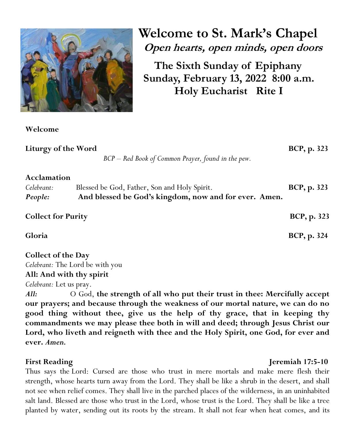

**Welcome** 

**Welcome to St. Mark's Chapel Open hearts, open minds, open doors**

**The Sixth Sunday of Epiphany Sunday, February 13, 2022 8:00 a.m. Holy Eucharist Rite I**

| Liturgy of the Word                                          | BCP - Red Book of Common Prayer, found in the pew.                                                    | BCP, p. 323         |
|--------------------------------------------------------------|-------------------------------------------------------------------------------------------------------|---------------------|
| Acclamation<br>Celebrant:<br>People:                         | Blessed be God, Father, Son and Holy Spirit.<br>And blessed be God's kingdom, now and for ever. Amen. | <b>BCP</b> , p. 323 |
| <b>Collect for Purity</b>                                    |                                                                                                       | BCP, p. 323         |
| Gloria                                                       |                                                                                                       | <b>BCP, p. 324</b>  |
| <b>Collect of the Day</b><br>Celebrant: The Lord be with you |                                                                                                       |                     |

## **All: And with thy spirit**

*Celebrant:* Let us pray.

*All:*O God, **the strength of all who put their trust in thee: Mercifully accept our prayers; and because through the weakness of our mortal nature, we can do no good thing without thee, give us the help of thy grace, that in keeping thy commandments we may please thee both in will and deed; through Jesus Christ our Lord, who liveth and reigneth with thee and the Holy Spirit, one God, for ever and ever.** *Amen.*

### **First Reading**  *i First Reading**Jeremiah 17:5-10*

Thus says the Lord: Cursed are those who trust in mere mortals and make mere flesh their strength, whose hearts turn away from the Lord. They shall be like a shrub in the desert, and shall not see when relief comes. They shall live in the parched places of the wilderness, in an uninhabited salt land. Blessed are those who trust in the Lord, whose trust is the Lord. They shall be like a tree planted by water, sending out its roots by the stream. It shall not fear when heat comes, and its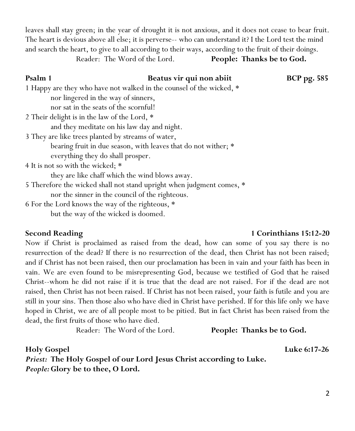leaves shall stay green; in the year of drought it is not anxious, and it does not cease to bear fruit. The heart is devious above all else; it is perverse-- who can understand it? I the Lord test the mind and search the heart, to give to all according to their ways, according to the fruit of their doings.

Reader: The Word of the Lord. **People: Thanks be to God.**

# **Psalm 1 Beatus vir qui non abiit BCP pg. 585** 1 Happy are they who have not walked in the counsel of the wicked, \* nor lingered in the way of sinners, nor sat in the seats of the scornful! 2 Their delight is in the law of the Lord, \* and they meditate on his law day and night. 3 They are like trees planted by streams of water, bearing fruit in due season, with leaves that do not wither; \* everything they do shall prosper. 4 It is not so with the wicked; \* they are like chaff which the wind blows away.

Now if Christ is proclaimed as raised from the dead, how can some of you say there is no resurrection of the dead? If there is no resurrection of the dead, then Christ has not been raised; and if Christ has not been raised, then our proclamation has been in vain and your faith has been in vain. We are even found to be misrepresenting God, because we testified of God that he raised Christ--whom he did not raise if it is true that the dead are not raised. For if the dead are not raised, then Christ has not been raised. If Christ has not been raised, your faith is futile and you are still in your sins. Then those also who have died in Christ have perished. If for this life only we have hoped in Christ, we are of all people most to be pitied. But in fact Christ has been raised from the dead, the first fruits of those who have died.

Reader: The Word of the Lord. **People: Thanks be to God.**

**Holy Gospel Luke 6:17-26** *Priest:* **The Holy Gospel of our Lord Jesus Christ according to Luke.**  *People:***Glory be to thee, O Lord.**

5 Therefore the wicked shall not stand upright when judgment comes, \*

nor the sinner in the council of the righteous.

6 For the Lord knows the way of the righteous, \*

but the way of the wicked is doomed.

**Second Reading 15:12-20 1 Corinthians 15:12-20**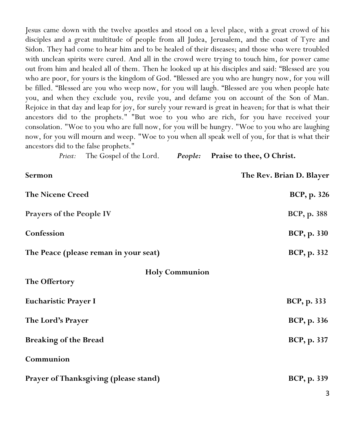Jesus came down with the twelve apostles and stood on a level place, with a great crowd of his disciples and a great multitude of people from all Judea, Jerusalem, and the coast of Tyre and Sidon. They had come to hear him and to be healed of their diseases; and those who were troubled with unclean spirits were cured. And all in the crowd were trying to touch him, for power came out from him and healed all of them. Then he looked up at his disciples and said: "Blessed are you who are poor, for yours is the kingdom of God. "Blessed are you who are hungry now, for you will be filled. "Blessed are you who weep now, for you will laugh. "Blessed are you when people hate you, and when they exclude you, revile you, and defame you on account of the Son of Man. Rejoice in that day and leap for joy, for surely your reward is great in heaven; for that is what their ancestors did to the prophets." "But woe to you who are rich, for you have received your consolation. "Woe to you who are full now, for you will be hungry. "Woe to you who are laughing now, for you will mourn and weep. "Woe to you when all speak well of you, for that is what their ancestors did to the false prophets."

*Priest:* The Gospel of the Lord. *People:* **Praise to thee, O Christ.**

| Sermon                                | The Rev. Brian D. Blayer |
|---------------------------------------|--------------------------|
| <b>The Nicene Creed</b>               | BCP, p. 326              |
| Prayers of the People IV              | <b>BCP, p. 388</b>       |
| Confession                            | <b>BCP, p. 330</b>       |
| The Peace (please reman in your seat) | <b>BCP, p. 332</b>       |
| <b>Holy Communion</b>                 |                          |
| The Offertory                         |                          |
| <b>Eucharistic Prayer I</b>           | BCP, p. 333              |
| The Lord's Prayer                     | BCP, p. 336              |
| <b>Breaking of the Bread</b>          | BCP, p. 337              |
| Communion                             |                          |
| Prayer of Thanksgiving (please stand) | BCP, p. 339              |